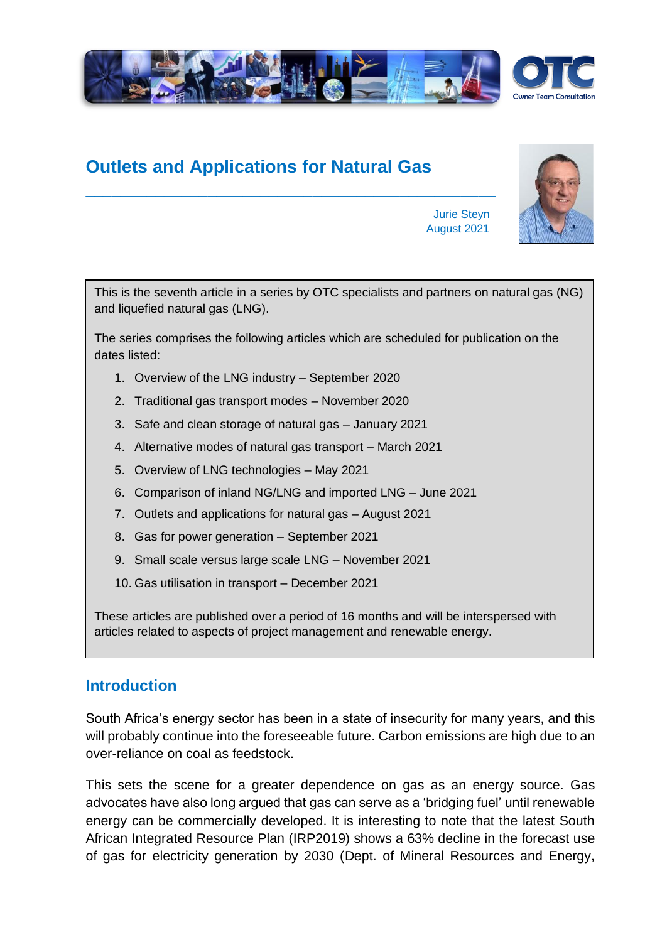

# **Outlets and Applications for Natural Gas**

**\_\_\_\_\_\_\_\_\_\_\_\_\_\_\_\_\_\_\_\_\_\_\_\_\_\_\_\_\_\_\_\_\_\_\_\_\_\_\_\_\_\_\_\_\_\_\_**



Jurie Steyn August 2021

This is the seventh article in a series by OTC specialists and partners on natural gas (NG) and liquefied natural gas (LNG).

The series comprises the following articles which are scheduled for publication on the dates listed:

- 1. Overview of the LNG industry September 2020
- 2. Traditional gas transport modes November 2020
- 3. Safe and clean storage of natural gas January 2021
- 4. Alternative modes of natural gas transport March 2021
- 5. Overview of LNG technologies May 2021
- 6. Comparison of inland NG/LNG and imported LNG June 2021
- 7. Outlets and applications for natural gas August 2021
- 8. Gas for power generation September 2021
- 9. Small scale versus large scale LNG November 2021
- 10. Gas utilisation in transport December 2021

These articles are published over a period of 16 months and will be interspersed with articles related to aspects of project management and renewable energy.

### **Introduction**

South Africa's energy sector has been in a state of insecurity for many years, and this will probably continue into the foreseeable future. Carbon emissions are high due to an over-reliance on coal as feedstock.

This sets the scene for a greater dependence on gas as an energy source. Gas advocates have also long argued that gas can serve as a 'bridging fuel' until renewable energy can be commercially developed. It is interesting to note that the latest South African Integrated Resource Plan (IRP2019) shows a 63% decline in the forecast use of gas for electricity generation by 2030 (Dept. of Mineral Resources and Energy,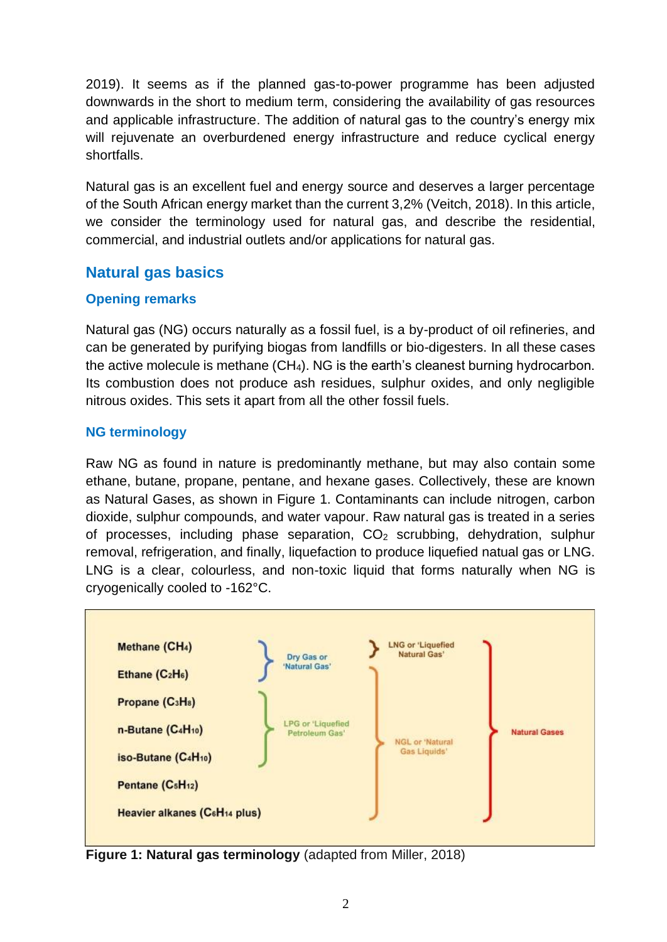2019). It seems as if the planned gas-to-power programme has been adjusted downwards in the short to medium term, considering the availability of gas resources and applicable infrastructure. The addition of natural gas to the country's energy mix will rejuvenate an overburdened energy infrastructure and reduce cyclical energy shortfalls.

Natural gas is an excellent fuel and energy source and deserves a larger percentage of the South African energy market than the current 3,2% (Veitch, 2018). In this article, we consider the terminology used for natural gas, and describe the residential, commercial, and industrial outlets and/or applications for natural gas.

## **Natural gas basics**

#### **Opening remarks**

Natural gas (NG) occurs naturally as a fossil fuel, is a by-product of oil refineries, and can be generated by purifying biogas from landfills or bio-digesters. In all these cases the active molecule is methane  $(CH<sub>4</sub>)$ . NG is the earth's cleanest burning hydrocarbon. Its combustion does not produce ash residues, sulphur oxides, and only negligible nitrous oxides. This sets it apart from all the other fossil fuels.

#### **NG terminology**

Raw NG as found in nature is predominantly methane, but may also contain some ethane, butane, propane, pentane, and hexane gases. Collectively, these are known as Natural Gases, as shown in Figure 1. Contaminants can include nitrogen, carbon dioxide, sulphur compounds, and water vapour. Raw natural gas is treated in a series of processes, including phase separation,  $CO<sub>2</sub>$  scrubbing, dehydration, sulphur removal, refrigeration, and finally, liquefaction to produce liquefied natual gas or LNG. LNG is a clear, colourless, and non-toxic liquid that forms naturally when NG is cryogenically cooled to -162°C.



**Figure 1: Natural gas terminology** (adapted from Miller, 2018)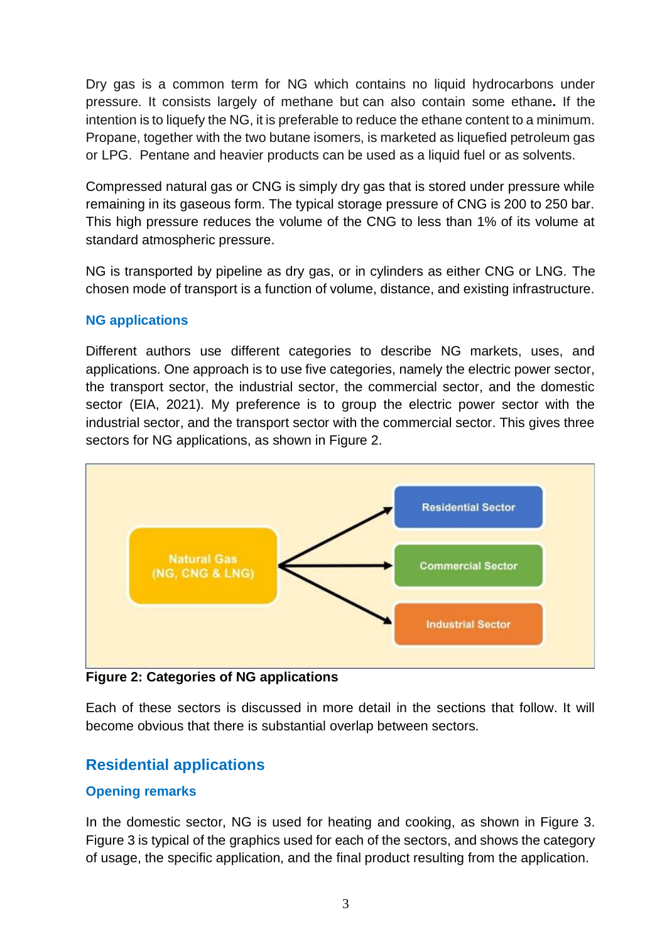Dry gas is a common term for NG which contains no liquid hydrocarbons under pressure. It consists largely of methane but can also contain some ethane**.** If the intention is to liquefy the NG, it is preferable to reduce the ethane content to a minimum. Propane, together with the two butane isomers, is marketed as liquefied petroleum gas or LPG. Pentane and heavier products can be used as a liquid fuel or as solvents.

Compressed natural gas or CNG is simply dry gas that is stored under pressure while remaining in its gaseous form. The typical storage pressure of CNG is 200 to 250 bar. This high pressure reduces the volume of the CNG to less than 1% of its volume at standard atmospheric pressure.

NG is transported by pipeline as dry gas, or in cylinders as either CNG or LNG. The chosen mode of transport is a function of volume, distance, and existing infrastructure.

#### **NG applications**

Different authors use different categories to describe NG markets, uses, and applications. One approach is to use five categories, namely the electric power sector, the transport sector, the industrial sector, the commercial sector, and the domestic sector (EIA, 2021). My preference is to group the electric power sector with the industrial sector, and the transport sector with the commercial sector. This gives three sectors for NG applications, as shown in Figure 2.



**Figure 2: Categories of NG applications**

Each of these sectors is discussed in more detail in the sections that follow. It will become obvious that there is substantial overlap between sectors.

# **Residential applications**

#### **Opening remarks**

In the domestic sector, NG is used for heating and cooking, as shown in Figure 3. Figure 3 is typical of the graphics used for each of the sectors, and shows the category of usage, the specific application, and the final product resulting from the application.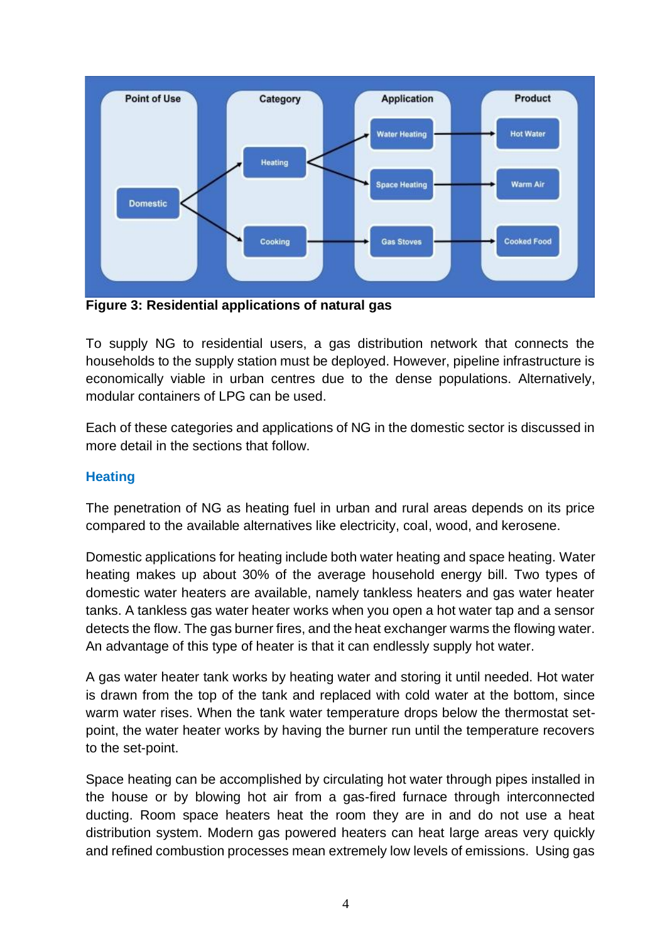

**Figure 3: Residential applications of natural gas**

To supply NG to residential users, a gas distribution network that connects the households to the supply station must be deployed. However, pipeline infrastructure is economically viable in urban centres due to the dense populations. Alternatively, modular containers of LPG can be used.

Each of these categories and applications of NG in the domestic sector is discussed in more detail in the sections that follow.

#### **Heating**

The penetration of NG as heating fuel in urban and rural areas depends on its price compared to the available alternatives like electricity, coal, wood, and kerosene.

Domestic applications for heating include both water heating and space heating. Water heating makes up about 30% of the average household energy bill. Two types of domestic water heaters are available, namely tankless heaters and gas water heater tanks. A tankless gas water heater works when you open a hot water tap and a sensor detects the flow. The gas burner fires, and the heat exchanger warms the flowing water. An advantage of this type of heater is that it can endlessly supply hot water.

A gas water heater tank works by heating water and storing it until needed. Hot water is drawn from the top of the tank and replaced with cold water at the bottom, since warm water rises. When the tank water temperature drops below the thermostat setpoint, the water heater works by having the burner run until the temperature recovers to the set-point.

Space heating can be accomplished by circulating hot water through pipes installed in the house or by blowing hot air from a gas-fired furnace through interconnected ducting. Room space heaters heat the room they are in and do not use a heat distribution system. Modern gas powered heaters can heat large areas very quickly and refined combustion processes mean extremely low levels of emissions. Using gas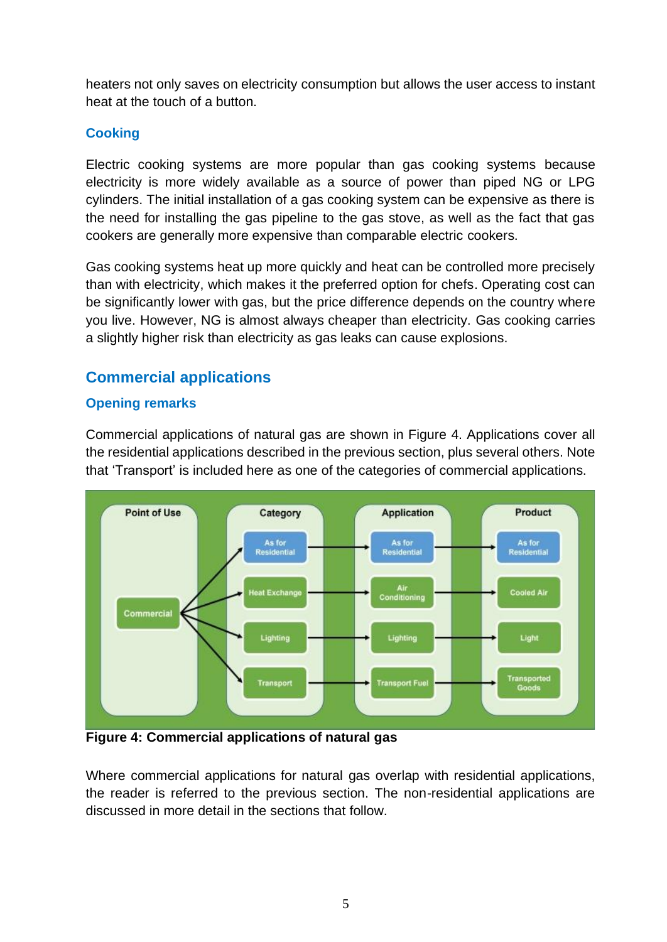heaters not only saves on electricity consumption but allows the user access to instant heat at the touch of a button.

#### **Cooking**

Electric cooking systems are more popular than gas cooking systems because electricity is more widely available as a source of power than piped NG or LPG cylinders. The initial installation of a gas cooking system can be expensive as there is the need for installing the gas pipeline to the gas stove, as well as the fact that gas cookers are generally more expensive than comparable electric cookers.

Gas cooking systems heat up more quickly and heat can be controlled more precisely than with electricity, which makes it the preferred option for chefs. Operating cost can be significantly lower with gas, but the price difference depends on the country where you live. However, NG is almost always cheaper than electricity. Gas cooking carries a slightly higher risk than electricity as gas leaks can cause explosions.

# **Commercial applications**

#### **Opening remarks**

Commercial applications of natural gas are shown in Figure 4. Applications cover all the residential applications described in the previous section, plus several others. Note that 'Transport' is included here as one of the categories of commercial applications.



**Figure 4: Commercial applications of natural gas**

Where commercial applications for natural gas overlap with residential applications, the reader is referred to the previous section. The non-residential applications are discussed in more detail in the sections that follow.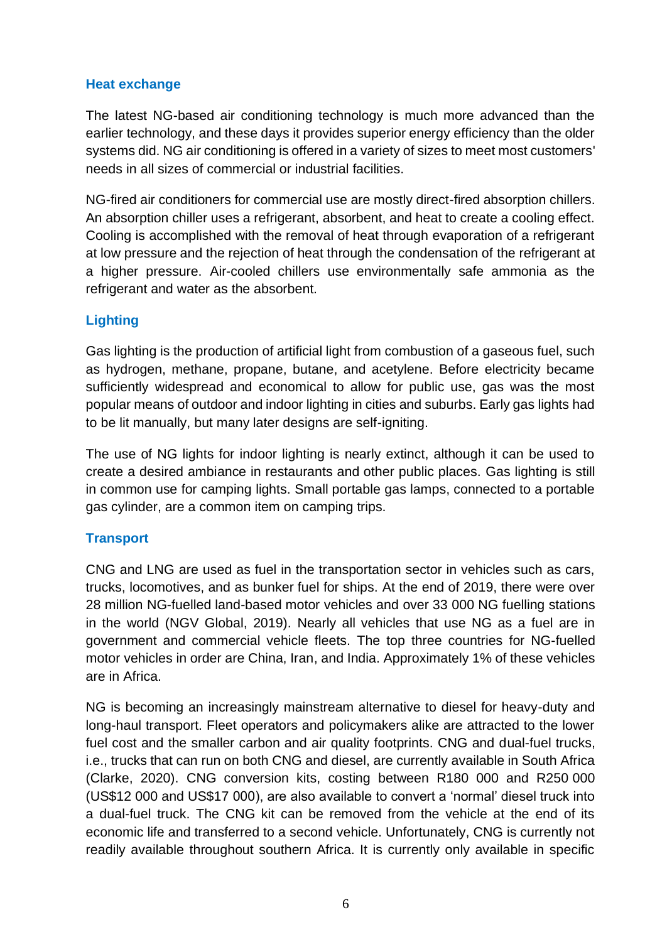#### **Heat exchange**

The latest NG-based air conditioning technology is much more advanced than the earlier technology, and these days it provides superior energy efficiency than the older systems did. NG air conditioning is offered in a variety of sizes to meet most customers' needs in all sizes of commercial or industrial facilities.

NG-fired air conditioners for commercial use are mostly direct-fired absorption chillers. An absorption chiller uses a refrigerant, absorbent, and heat to create a cooling effect. Cooling is accomplished with the removal of heat through evaporation of a refrigerant at low pressure and the rejection of heat through the condensation of the refrigerant at a higher pressure. Air-cooled chillers use environmentally safe ammonia as the refrigerant and water as the absorbent.

#### **Lighting**

Gas lighting is the production of artificial light from combustion of a gaseous fuel, such as hydrogen, methane, propane, butane, and acetylene. Before electricity became sufficiently widespread and economical to allow for public use, gas was the most popular means of outdoor and indoor lighting in cities and suburbs. Early gas lights had to be lit manually, but many later designs are self-igniting.

The use of NG lights for indoor lighting is nearly extinct, although it can be used to create a desired ambiance in restaurants and other public places. Gas lighting is still in common use for camping lights. Small portable gas lamps, connected to a portable gas cylinder, are a common item on camping trips.

#### **Transport**

CNG and LNG are used as fuel in the transportation sector in vehicles such as cars, trucks, locomotives, and as bunker fuel for ships. At the end of 2019, there were over 28 million NG-fuelled land-based motor vehicles and over 33 000 NG fuelling stations in the world (NGV Global, 2019). Nearly all vehicles that use NG as a fuel are in government and commercial vehicle fleets. The top three countries for NG-fuelled motor vehicles in order are China, Iran, and India. Approximately 1% of these vehicles are in Africa.

NG is becoming an increasingly mainstream alternative to diesel for heavy-duty and long-haul transport. Fleet operators and policymakers alike are attracted to the lower fuel cost and the smaller carbon and air quality footprints. CNG and dual-fuel trucks, i.e., trucks that can run on both CNG and diesel, are currently available in South Africa (Clarke, 2020). CNG conversion kits, costing between R180 000 and R250 000 (US\$12 000 and US\$17 000), are also available to convert a 'normal' diesel truck into a dual-fuel truck. The CNG kit can be removed from the vehicle at the end of its economic life and transferred to a second vehicle. Unfortunately, CNG is currently not readily available throughout southern Africa. It is currently only available in specific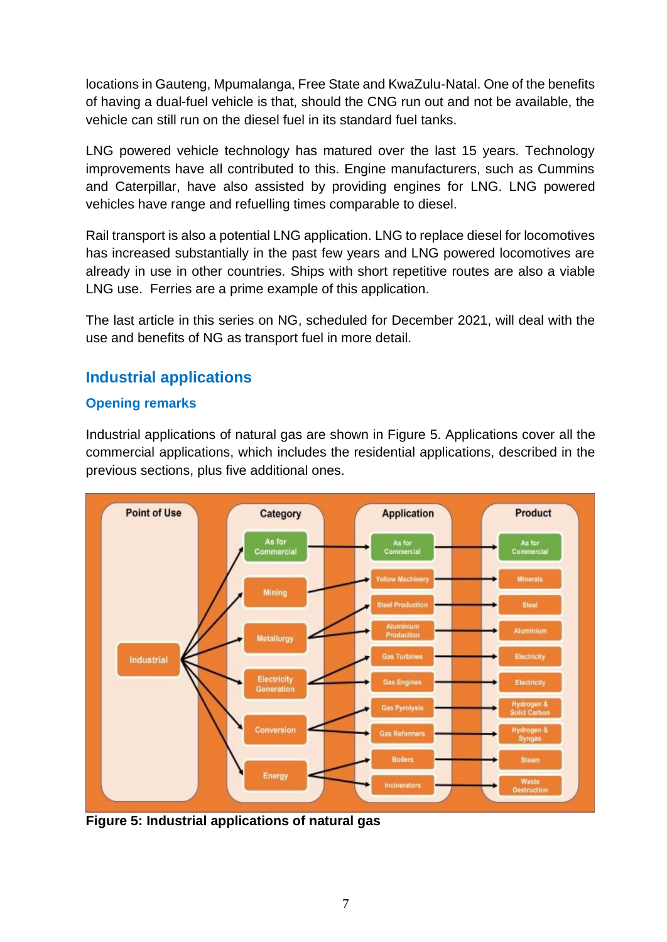locations in Gauteng, Mpumalanga, Free State and KwaZulu-Natal. One of the benefits of having a dual-fuel vehicle is that, should the CNG run out and not be available, the vehicle can still run on the diesel fuel in its standard fuel tanks.

LNG powered vehicle technology has matured over the last 15 years. Technology improvements have all contributed to this. Engine manufacturers, such as Cummins and Caterpillar, have also assisted by providing engines for LNG. LNG powered vehicles have range and refuelling times comparable to diesel.

Rail transport is also a potential LNG application. LNG to replace diesel for locomotives has increased substantially in the past few years and LNG powered locomotives are already in use in other countries. Ships with short repetitive routes are also a viable LNG use. Ferries are a prime example of this application.

The last article in this series on NG, scheduled for December 2021, will deal with the use and benefits of NG as transport fuel in more detail.

# **Industrial applications**

#### **Opening remarks**

Industrial applications of natural gas are shown in Figure 5. Applications cover all the commercial applications, which includes the residential applications, described in the previous sections, plus five additional ones.



**Figure 5: Industrial applications of natural gas**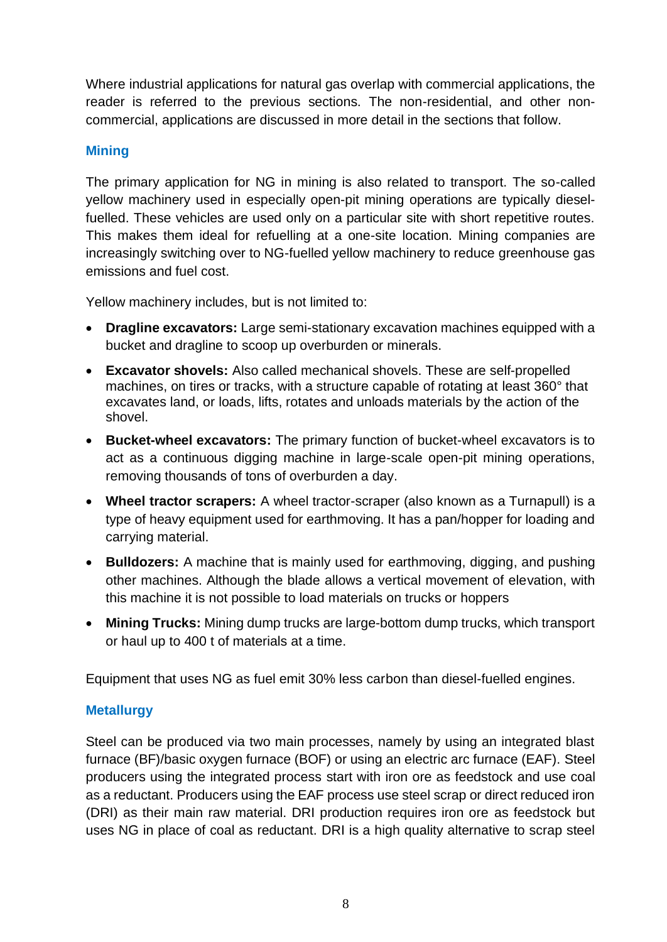Where industrial applications for natural gas overlap with commercial applications, the reader is referred to the previous sections. The non-residential, and other noncommercial, applications are discussed in more detail in the sections that follow.

#### **Mining**

The primary application for NG in mining is also related to transport. The so-called yellow machinery used in especially open-pit mining operations are typically dieselfuelled. These vehicles are used only on a particular site with short repetitive routes. This makes them ideal for refuelling at a one-site location. Mining companies are increasingly switching over to NG-fuelled yellow machinery to reduce greenhouse gas emissions and fuel cost.

Yellow machinery includes, but is not limited to:

- **Dragline excavators:** Large semi-stationary excavation machines equipped with a bucket and dragline to scoop up overburden or minerals.
- **Excavator shovels:** Also called mechanical shovels. These are self-propelled machines, on tires or tracks, with a structure capable of rotating at least 360° that excavates land, or loads, lifts, rotates and unloads materials by the action of the shovel.
- **Bucket-wheel excavators:** The primary function of bucket-wheel excavators is to act as a continuous digging machine in large-scale open-pit mining operations, removing thousands of tons of overburden a day.
- **Wheel tractor scrapers:** A wheel tractor-scraper (also known as a Turnapull) is a type of heavy equipment used for earthmoving. It has a pan/hopper for loading and carrying material.
- **Bulldozers:** A machine that is mainly used for earthmoving, digging, and pushing other machines. Although the blade allows a vertical movement of elevation, with this machine it is not possible to load materials on trucks or hoppers
- **Mining Trucks:** Mining dump trucks are large-bottom dump trucks, which transport or haul up to 400 t of materials at a time.

Equipment that uses NG as fuel emit 30% less carbon than diesel-fuelled engines.

#### **Metallurgy**

Steel can be produced via two main processes, namely by using an integrated blast furnace (BF)/basic oxygen furnace (BOF) or using an electric arc furnace (EAF). Steel producers using the integrated process start with iron ore as feedstock and use coal as a reductant. Producers using the EAF process use steel scrap or direct reduced iron (DRI) as their main raw material. DRI production requires iron ore as feedstock but uses NG in place of coal as reductant. DRI is a high quality alternative to scrap steel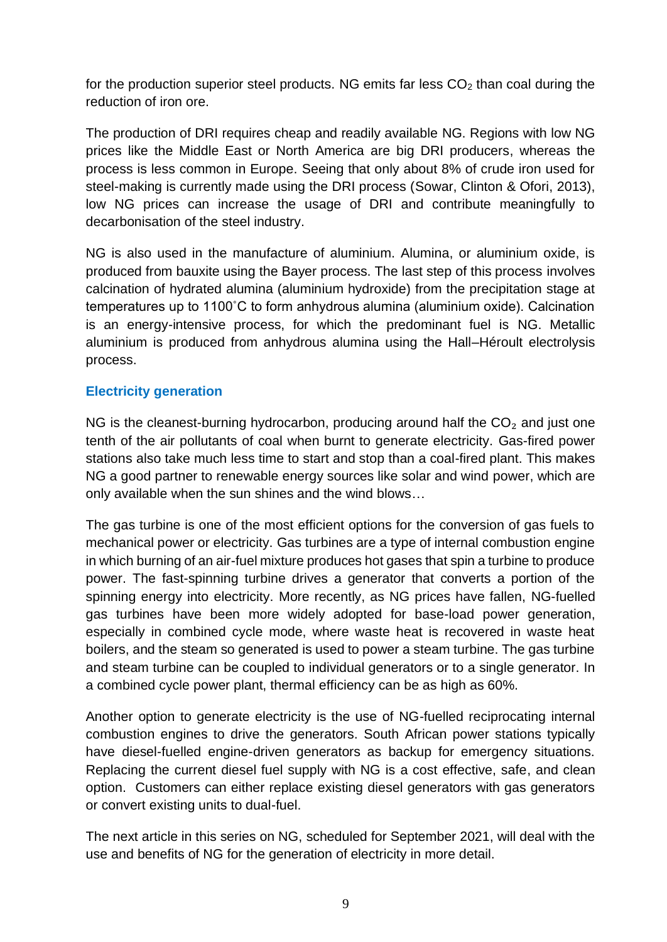for the production superior steel products. NG emits far less  $CO<sub>2</sub>$  than coal during the reduction of iron ore.

The production of DRI requires cheap and readily available NG. Regions with low NG prices like the Middle East or North America are big DRI producers, whereas the process is less common in Europe. Seeing that only about 8% of crude iron used for steel-making is currently made using the DRI process (Sowar, Clinton & Ofori, 2013), low NG prices can increase the usage of DRI and contribute meaningfully to decarbonisation of the steel industry.

NG is also used in the manufacture of aluminium. Alumina, or aluminium oxide, is produced from bauxite using the Bayer process. The last step of this process involves calcination of hydrated alumina (aluminium hydroxide) from the precipitation stage at temperatures up to 1100˚C to form anhydrous alumina (aluminium oxide). Calcination is an energy-intensive process, for which the predominant fuel is NG. Metallic aluminium is produced from anhydrous alumina using the Hall–Héroult electrolysis process.

#### **Electricity generation**

NG is the cleanest-burning hydrocarbon, producing around half the  $CO<sub>2</sub>$  and just one tenth of the air pollutants of coal when burnt to generate electricity. Gas-fired power stations also take much less time to start and stop than a coal-fired plant. This makes NG a good partner to renewable energy sources like solar and wind power, which are only available when the sun shines and the wind blows…

The gas turbine is one of the most efficient options for the conversion of gas fuels to mechanical power or electricity. Gas turbines are a type of internal combustion engine in which burning of an air-fuel mixture produces hot gases that spin a turbine to produce power. The fast-spinning turbine drives a generator that converts a portion of the spinning energy into electricity. More recently, as NG prices have fallen, NG-fuelled gas turbines have been more widely adopted for base-load power generation, especially in combined cycle mode, where waste heat is recovered in waste heat boilers, and the steam so generated is used to power a steam turbine. The gas turbine and steam turbine can be coupled to individual generators or to a single generator. In a combined cycle power plant, thermal efficiency can be as high as 60%.

Another option to generate electricity is the use of NG-fuelled reciprocating internal combustion engines to drive the generators. South African power stations typically have diesel-fuelled engine-driven generators as backup for emergency situations. Replacing the current diesel fuel supply with NG is a cost effective, safe, and clean option. Customers can either replace existing diesel generators with gas generators or convert existing units to dual-fuel.

The next article in this series on NG, scheduled for September 2021, will deal with the use and benefits of NG for the generation of electricity in more detail.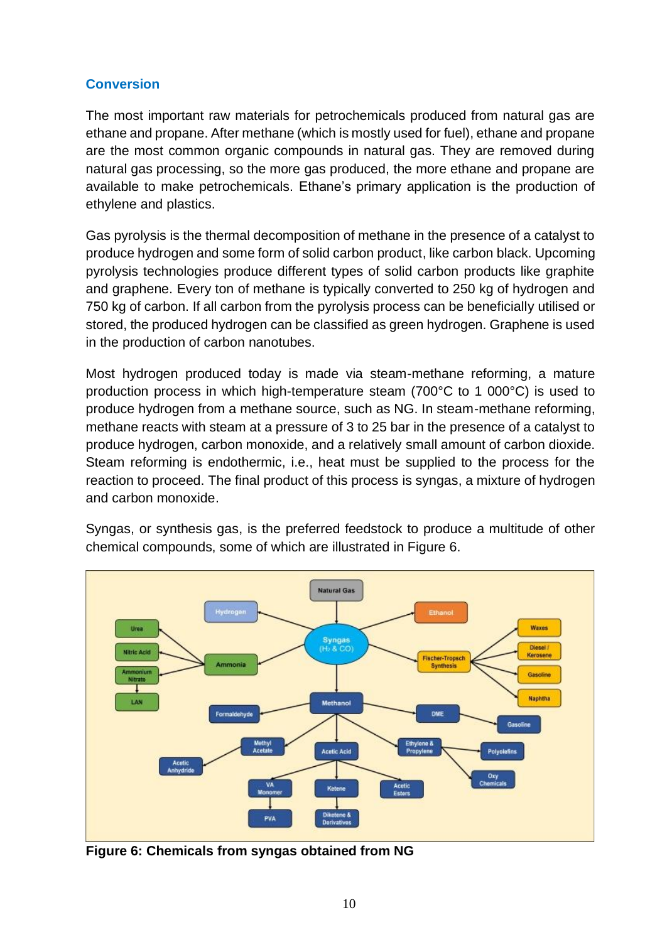#### **Conversion**

The most important raw materials for petrochemicals produced from natural gas are ethane and propane. After methane (which is mostly used for fuel), ethane and propane are the most common organic compounds in natural gas. They are removed during natural gas processing, so the more gas produced, the more ethane and propane are available to make petrochemicals. Ethane's primary application is the production of ethylene and plastics.

Gas pyrolysis is the thermal decomposition of methane in the presence of a catalyst to produce hydrogen and some form of solid carbon product, like carbon black. Upcoming pyrolysis technologies produce different types of solid carbon products like graphite and graphene. Every ton of methane is typically converted to 250 kg of hydrogen and 750 kg of carbon. If all carbon from the pyrolysis process can be beneficially utilised or stored, the produced hydrogen can be classified as green hydrogen. Graphene is used in the production of carbon nanotubes.

Most hydrogen produced today is made via steam-methane reforming, a mature production process in which high-temperature steam (700°C to 1 000°C) is used to produce hydrogen from a methane source, such as NG. In steam-methane reforming, methane reacts with steam at a pressure of 3 to 25 bar in the presence of a catalyst to produce hydrogen, carbon monoxide, and a relatively small amount of carbon dioxide. Steam reforming is endothermic, i.e., heat must be supplied to the process for the reaction to proceed. The final product of this process is syngas, a mixture of hydrogen and carbon monoxide.



Syngas, or synthesis gas, is the preferred feedstock to produce a multitude of other chemical compounds, some of which are illustrated in Figure 6.

**Figure 6: Chemicals from syngas obtained from NG**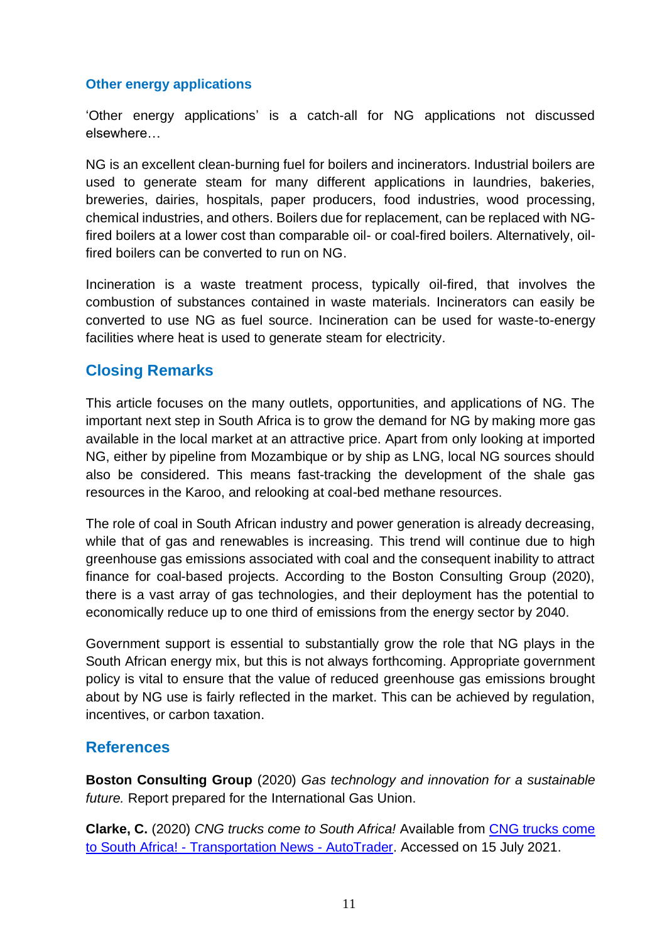#### **Other energy applications**

'Other energy applications' is a catch-all for NG applications not discussed elsewhere…

NG is an excellent clean-burning fuel for boilers and incinerators. Industrial boilers are used to generate steam for many different applications in laundries, bakeries, breweries, dairies, hospitals, paper producers, food industries, wood processing, chemical industries, and others. Boilers due for replacement, can be replaced with NGfired boilers at a lower cost than comparable oil- or coal-fired boilers. Alternatively, oilfired boilers can be converted to run on NG.

Incineration is a waste treatment process, typically oil-fired, that involves the combustion of substances contained in waste materials. Incinerators can easily be converted to use NG as fuel source. Incineration can be used for waste-to-energy facilities where heat is used to generate steam for electricity.

## **Closing Remarks**

This article focuses on the many outlets, opportunities, and applications of NG. The important next step in South Africa is to grow the demand for NG by making more gas available in the local market at an attractive price. Apart from only looking at imported NG, either by pipeline from Mozambique or by ship as LNG, local NG sources should also be considered. This means fast-tracking the development of the shale gas resources in the Karoo, and relooking at coal-bed methane resources.

The role of coal in South African industry and power generation is already decreasing, while that of gas and renewables is increasing. This trend will continue due to high greenhouse gas emissions associated with coal and the consequent inability to attract finance for coal-based projects. According to the Boston Consulting Group (2020), there is a vast array of gas technologies, and their deployment has the potential to economically reduce up to one third of emissions from the energy sector by 2040.

Government support is essential to substantially grow the role that NG plays in the South African energy mix, but this is not always forthcoming. Appropriate government policy is vital to ensure that the value of reduced greenhouse gas emissions brought about by NG use is fairly reflected in the market. This can be achieved by regulation, incentives, or carbon taxation.

#### **References**

**Boston Consulting Group** (2020) *Gas technology and innovation for a sustainable future.* Report prepared for the International Gas Union.

**Clarke, C.** (2020) *CNG trucks come to South Africa!* Available from [CNG trucks come](https://www.autotrader.co.za/commercial/news-and-advice/transportation-news/cng-trucks-come-to-south-africa!/7301)  to South Africa! - [Transportation News -](https://www.autotrader.co.za/commercial/news-and-advice/transportation-news/cng-trucks-come-to-south-africa!/7301) AutoTrader. Accessed on 15 July 2021.